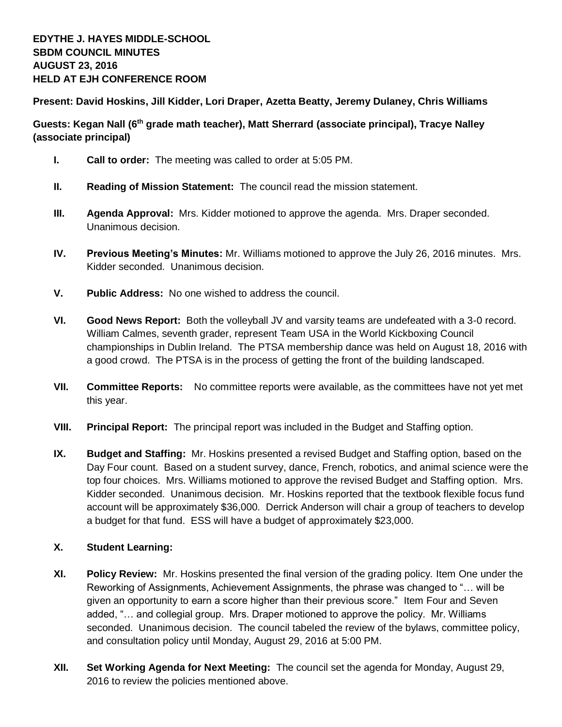**Present: David Hoskins, Jill Kidder, Lori Draper, Azetta Beatty, Jeremy Dulaney, Chris Williams**

**Guests: Kegan Nall (6th grade math teacher), Matt Sherrard (associate principal), Tracye Nalley (associate principal)**

- **I. Call to order:** The meeting was called to order at 5:05 PM.
- **II. Reading of Mission Statement:** The council read the mission statement.
- **III. Agenda Approval:** Mrs. Kidder motioned to approve the agenda. Mrs. Draper seconded. Unanimous decision.
- **IV. Previous Meeting's Minutes:** Mr. Williams motioned to approve the July 26, 2016 minutes. Mrs. Kidder seconded. Unanimous decision.
- **V. Public Address:** No one wished to address the council.
- **VI. Good News Report:** Both the volleyball JV and varsity teams are undefeated with a 3-0 record. William Calmes, seventh grader, represent Team USA in the World Kickboxing Council championships in Dublin Ireland. The PTSA membership dance was held on August 18, 2016 with a good crowd. The PTSA is in the process of getting the front of the building landscaped.
- **VII. Committee Reports:** No committee reports were available, as the committees have not yet met this year.
- **VIII. Principal Report:** The principal report was included in the Budget and Staffing option.
- **IX. Budget and Staffing:** Mr. Hoskins presented a revised Budget and Staffing option, based on the Day Four count. Based on a student survey, dance, French, robotics, and animal science were the top four choices. Mrs. Williams motioned to approve the revised Budget and Staffing option. Mrs. Kidder seconded. Unanimous decision. Mr. Hoskins reported that the textbook flexible focus fund account will be approximately \$36,000. Derrick Anderson will chair a group of teachers to develop a budget for that fund. ESS will have a budget of approximately \$23,000.

## **X. Student Learning:**

- **XI. Policy Review:** Mr. Hoskins presented the final version of the grading policy. Item One under the Reworking of Assignments, Achievement Assignments, the phrase was changed to "… will be given an opportunity to earn a score higher than their previous score." Item Four and Seven added, "… and collegial group. Mrs. Draper motioned to approve the policy. Mr. Williams seconded. Unanimous decision. The council tabeled the review of the bylaws, committee policy, and consultation policy until Monday, August 29, 2016 at 5:00 PM.
- **XII. Set Working Agenda for Next Meeting:** The council set the agenda for Monday, August 29, 2016 to review the policies mentioned above.